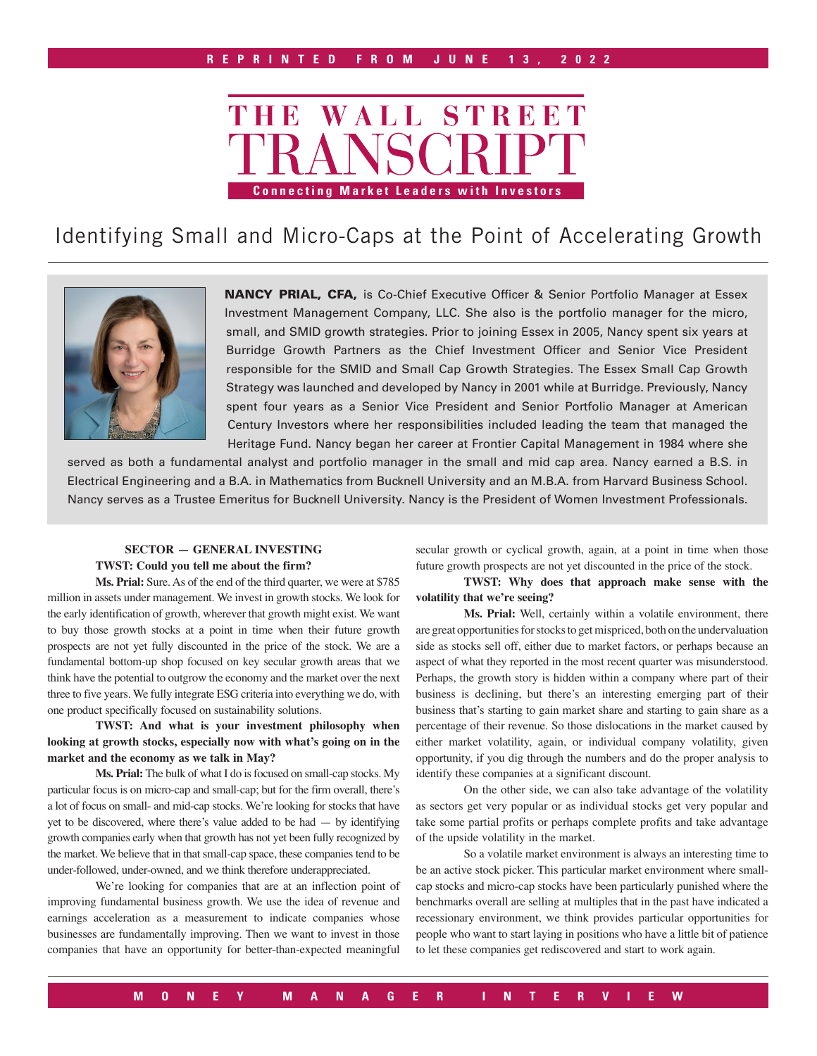

# Identifying Small and Micro-Caps at the Point of Accelerating Growth



NANCY PRIAL, CFA, is Co-Chief Executive Officer & Senior Portfolio Manager at Essex Investment Management Company, LLC. She also is the portfolio manager for the micro, small, and SMID growth strategies. Prior to joining Essex in 2005, Nancy spent six years at Burridge Growth Partners as the Chief Investment Officer and Senior Vice President responsible for the SMID and Small Cap Growth Strategies. The Essex Small Cap Growth Strategy was launched and developed by Nancy in 2001 while at Burridge. Previously, Nancy spent four years as a Senior Vice President and Senior Portfolio Manager at American Century Investors where her responsibilities included leading the team that managed the Heritage Fund. Nancy began her career at Frontier Capital Management in 1984 where she

served as both a fundamental analyst and portfolio manager in the small and mid cap area. Nancy earned a B.S. in Electrical Engineering and a B.A. in Mathematics from Bucknell University and an M.B.A. from Harvard Business School. Nancy serves as a Trustee Emeritus for Bucknell University. Nancy is the President of Women Investment Professionals.

# **SECTOR — GENERAL INVESTING TWST: Could you tell me about the firm?**

**Ms. Prial:** Sure. As of the end of the third quarter, we were at \$785 million in assets under management. We invest in growth stocks. We look for the early identification of growth, wherever that growth might exist. We want to buy those growth stocks at a point in time when their future growth prospects are not yet fully discounted in the price of the stock. We are a fundamental bottom-up shop focused on key secular growth areas that we think have the potential to outgrow the economy and the market over the next three to five years. We fully integrate ESG criteria into everything we do, with one product specifically focused on sustainability solutions.

### **TWST: And what is your investment philosophy when looking at growth stocks, especially now with what's going on in the market and the economy as we talk in May?**

**Ms. Prial:** The bulk of what I do is focused on small-cap stocks. My particular focus is on micro-cap and small-cap; but for the firm overall, there's a lot of focus on small- and mid-cap stocks. We're looking for stocks that have yet to be discovered, where there's value added to be had — by identifying growth companies early when that growth has not yet been fully recognized by the market. We believe that in that small-cap space, these companies tend to be under-followed, under-owned, and we think therefore underappreciated.

We're looking for companies that are at an inflection point of improving fundamental business growth. We use the idea of revenue and earnings acceleration as a measurement to indicate companies whose businesses are fundamentally improving. Then we want to invest in those companies that have an opportunity for better-than-expected meaningful

secular growth or cyclical growth, again, at a point in time when those future growth prospects are not yet discounted in the price of the stock.

**TWST: Why does that approach make sense with the volatility that we're seeing?**

**Ms. Prial:** Well, certainly within a volatile environment, there are great opportunities for stocks to get mispriced, both on the undervaluation side as stocks sell off, either due to market factors, or perhaps because an aspect of what they reported in the most recent quarter was misunderstood. Perhaps, the growth story is hidden within a company where part of their business is declining, but there's an interesting emerging part of their business that's starting to gain market share and starting to gain share as a percentage of their revenue. So those dislocations in the market caused by either market volatility, again, or individual company volatility, given opportunity, if you dig through the numbers and do the proper analysis to identify these companies at a significant discount.

On the other side, we can also take advantage of the volatility as sectors get very popular or as individual stocks get very popular and take some partial profits or perhaps complete profits and take advantage of the upside volatility in the market.

So a volatile market environment is always an interesting time to be an active stock picker. This particular market environment where smallcap stocks and micro-cap stocks have been particularly punished where the benchmarks overall are selling at multiples that in the past have indicated a recessionary environment, we think provides particular opportunities for people who want to start laying in positions who have a little bit of patience to let these companies get rediscovered and start to work again.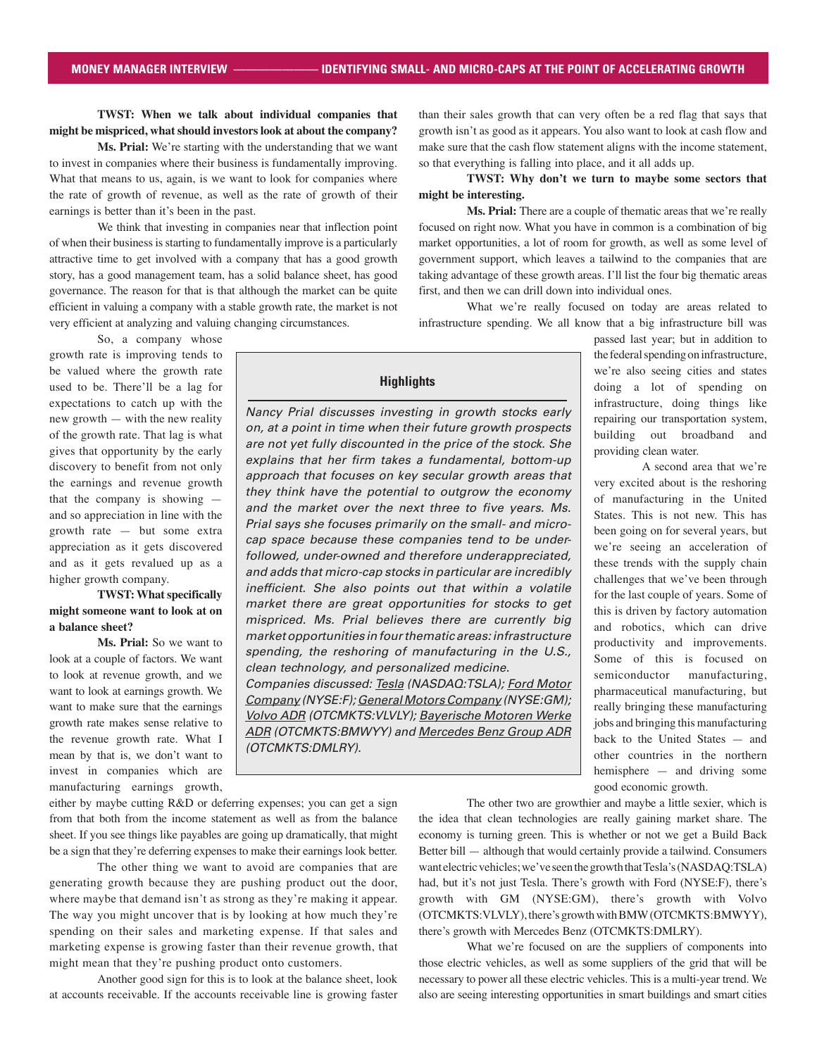# **TWST: When we talk about individual companies that might be mispriced, what should investors look at about the company?**

**Ms. Prial:** We're starting with the understanding that we want to invest in companies where their business is fundamentally improving. What that means to us, again, is we want to look for companies where the rate of growth of revenue, as well as the rate of growth of their earnings is better than it's been in the past.

We think that investing in companies near that inflection point of when their business is starting to fundamentally improve is a particularly attractive time to get involved with a company that has a good growth story, has a good management team, has a solid balance sheet, has good governance. The reason for that is that although the market can be quite efficient in valuing a company with a stable growth rate, the market is not very efficient at analyzing and valuing changing circumstances.

So, a company whose growth rate is improving tends to be valued where the growth rate used to be. There'll be a lag for expectations to catch up with the new growth — with the new reality of the growth rate. That lag is what gives that opportunity by the early discovery to benefit from not only the earnings and revenue growth that the company is showing and so appreciation in line with the growth rate — but some extra appreciation as it gets discovered and as it gets revalued up as a higher growth company.

#### **TWST: What specifically might someone want to look at on a balance sheet?**

**Ms. Prial:** So we want to look at a couple of factors. We want to look at revenue growth, and we want to look at earnings growth. We want to make sure that the earnings growth rate makes sense relative to the revenue growth rate. What I mean by that is, we don't want to invest in companies which are manufacturing earnings growth,

than their sales growth that can very often be a red flag that says that growth isn't as good as it appears. You also want to look at cash flow and make sure that the cash flow statement aligns with the income statement, so that everything is falling into place, and it all adds up.

#### **TWST: Why don't we turn to maybe some sectors that might be interesting.**

**Ms. Prial:** There are a couple of thematic areas that we're really focused on right now. What you have in common is a combination of big market opportunities, a lot of room for growth, as well as some level of government support, which leaves a tailwind to the companies that are taking advantage of these growth areas. I'll list the four big thematic areas first, and then we can drill down into individual ones.

What we're really focused on today are areas related to infrastructure spending. We all know that a big infrastructure bill was

> passed last year; but in addition to the federal spending on infrastructure, we're also seeing cities and states doing a lot of spending on infrastructure, doing things like repairing our transportation system, building out broadband and providing clean water.

> A second area that we're very excited about is the reshoring of manufacturing in the United States. This is not new. This has been going on for several years, but we're seeing an acceleration of these trends with the supply chain challenges that we've been through for the last couple of years. Some of this is driven by factory automation and robotics, which can drive productivity and improvements. Some of this is focused on semiconductor manufacturing, pharmaceutical manufacturing, but really bringing these manufacturing jobs and bringing this manufacturing back to the United States — and other countries in the northern hemisphere — and driving some good economic growth.

either by maybe cutting R&D or deferring expenses; you can get a sign from that both from the income statement as well as from the balance sheet. If you see things like payables are going up dramatically, that might be a sign that they're deferring expenses to make their earnings look better.

The other thing we want to avoid are companies that are generating growth because they are pushing product out the door, where maybe that demand isn't as strong as they're making it appear. The way you might uncover that is by looking at how much they're spending on their sales and marketing expense. If that sales and marketing expense is growing faster than their revenue growth, that might mean that they're pushing product onto customers.

Another good sign for this is to look at the balance sheet, look at accounts receivable. If the accounts receivable line is growing faster

The other two are growthier and maybe a little sexier, which is the idea that clean technologies are really gaining market share. The economy is turning green. This is whether or not we get a Build Back Better bill — although that would certainly provide a tailwind. Consumers want electric vehicles; we've seen the growth that Tesla's (NASDAQ:TSLA) had, but it's not just Tesla. There's growth with Ford (NYSE:F), there's growth with GM (NYSE:GM), there's growth with Volvo (OTCMKTS:VLVLY), there's growth with BMW (OTCMKTS:BMWYY), there's growth with Mercedes Benz (OTCMKTS:DMLRY).

What we're focused on are the suppliers of components into those electric vehicles, as well as some suppliers of the grid that will be necessary to power all these electric vehicles. This is a multi-year trend. We also are seeing interesting opportunities in smart buildings and smart cities

# **Highlights**

Nancy Prial discusses investing in growth stocks early on, at a point in time when their future growth prospects are not yet fully discounted in the price of the stock. She explains that her firm takes a fundamental, bottom-up approach that focuses on key secular growth areas that they think have the potential to outgrow the economy and the market over the next three to five years. Ms. Prial says she focuses primarily on the small- and microcap space because these companies tend to be underfollowed, under-owned and therefore underappreciated, and adds that micro-cap stocks in particular are incredibly inefficient. She also points out that within a volatile market there are great opportunities for stocks to get mispriced. Ms. Prial believes there are currently big market opportunities in four thematic areas: infrastructure spending, the reshoring of manufacturing in the U.S., clean technology, and personalized medicine. Companies discussed: Tesla (NASDAQ:TSLA); Ford Motor

Company (NYSE:F); General Motors Company (NYSE:GM); Volvo ADR (OTCMKTS:VLVLY); Bayerische Motoren Werke ADR (OTCMKTS:BMWYY) and Mercedes Benz Group ADR (OTCMKTS:DMLRY).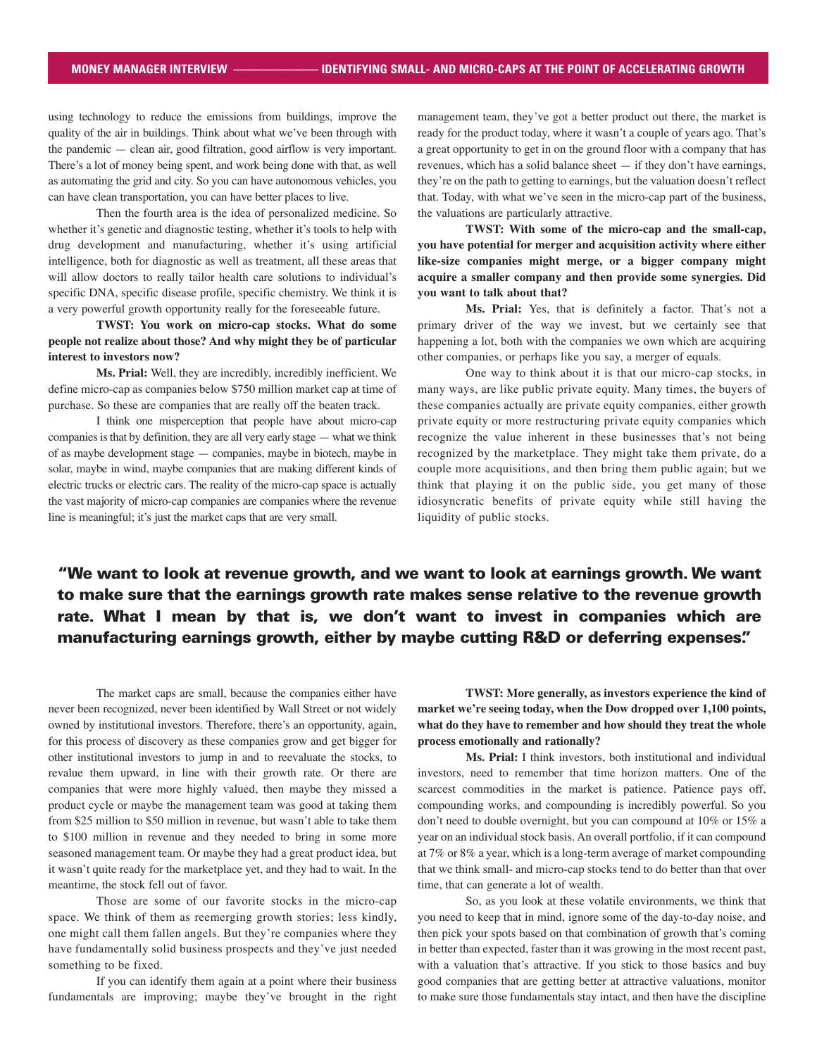using technology to reduce the emissions from buildings, improve the quality of the air in buildings. Think about what we've been through with the pandemic — clean air, good filtration, good airflow is very important. There's a lot of money being spent, and work being done with that, as well as automating the grid and city. So you can have autonomous vehicles, you can have clean transportation, you can have better places to live.

Then the fourth area is the idea of personalized medicine. So whether it's genetic and diagnostic testing, whether it's tools to help with drug development and manufacturing, whether it's using artificial intelligence, both for diagnostic as well as treatment, all these areas that will allow doctors to really tailor health care solutions to individual's specific DNA, specific disease profile, specific chemistry. We think it is a very powerful growth opportunity really for the foreseeable future.

**TWST: You work on micro-cap stocks. What do some people not realize about those? And why might they be of particular interest to investors now?**

**Ms. Prial:** Well, they are incredibly, incredibly inefficient. We define micro-cap as companies below \$750 million market cap at time of purchase. So these are companies that are really off the beaten track.

I think one misperception that people have about micro-cap companies is that by definition, they are all very early stage — what we think of as maybe development stage — companies, maybe in biotech, maybe in solar, maybe in wind, maybe companies that are making different kinds of electric trucks or electric cars. The reality of the micro-cap space is actually the vast majority of micro-cap companies are companies where the revenue line is meaningful; it's just the market caps that are very small.

management team, they've got a better product out there, the market is ready for the product today, where it wasn't a couple of years ago. That's a great opportunity to get in on the ground floor with a company that has revenues, which has a solid balance sheet — if they don't have earnings, they're on the path to getting to earnings, but the valuation doesn't reflect that. Today, with what we've seen in the micro-cap part of the business, the valuations are particularly attractive.

**TWST: With some of the micro-cap and the small-cap, you have potential for merger and acquisition activity where either like-size companies might merge, or a bigger company might acquire a smaller company and then provide some synergies. Did you want to talk about that?**

**Ms. Prial:** Yes, that is definitely a factor. That's not a primary driver of the way we invest, but we certainly see that happening a lot, both with the companies we own which are acquiring other companies, or perhaps like you say, a merger of equals.

One way to think about it is that our micro-cap stocks, in many ways, are like public private equity. Many times, the buyers of these companies actually are private equity companies, either growth private equity or more restructuring private equity companies which recognize the value inherent in these businesses that's not being recognized by the marketplace. They might take them private, do a couple more acquisitions, and then bring them public again; but we think that playing it on the public side, you get many of those idiosyncratic benefits of private equity while still having the liquidity of public stocks.

"We want to look at revenue growth, and we want to look at earnings growth. We want to make sure that the earnings growth rate makes sense relative to the revenue growth rate. What I mean by that is, we don't want to invest in companies which are manufacturing earnings growth, either by maybe cutting R&D or deferring expenses."

The market caps are small, because the companies either have never been recognized, never been identified by Wall Street or not widely owned by institutional investors. Therefore, there's an opportunity, again, for this process of discovery as these companies grow and get bigger for other institutional investors to jump in and to reevaluate the stocks, to revalue them upward, in line with their growth rate. Or there are companies that were more highly valued, then maybe they missed a product cycle or maybe the management team was good at taking them from \$25 million to \$50 million in revenue, but wasn't able to take them to \$100 million in revenue and they needed to bring in some more seasoned management team. Or maybe they had a great product idea, but it wasn't quite ready for the marketplace yet, and they had to wait. In the meantime, the stock fell out of favor.

Those are some of our favorite stocks in the micro-cap space. We think of them as reemerging growth stories; less kindly, one might call them fallen angels. But they're companies where they have fundamentally solid business prospects and they've just needed something to be fixed.

If you can identify them again at a point where their business fundamentals are improving; maybe they've brought in the right

**TWST: More generally, as investors experience the kind of market we're seeing today, when the Dow dropped over 1,100 points, what do they have to remember and how should they treat the whole process emotionally and rationally?**

**Ms. Prial:** I think investors, both institutional and individual investors, need to remember that time horizon matters. One of the scarcest commodities in the market is patience. Patience pays off, compounding works, and compounding is incredibly powerful. So you don't need to double overnight, but you can compound at 10% or 15% a year on an individual stock basis. An overall portfolio, if it can compound at 7% or 8% a year, which is a long-term average of market compounding that we think small- and micro-cap stocks tend to do better than that over time, that can generate a lot of wealth.

So, as you look at these volatile environments, we think that you need to keep that in mind, ignore some of the day-to-day noise, and then pick your spots based on that combination of growth that's coming in better than expected, faster than it was growing in the most recent past, with a valuation that's attractive. If you stick to those basics and buy good companies that are getting better at attractive valuations, monitor to make sure those fundamentals stay intact, and then have the discipline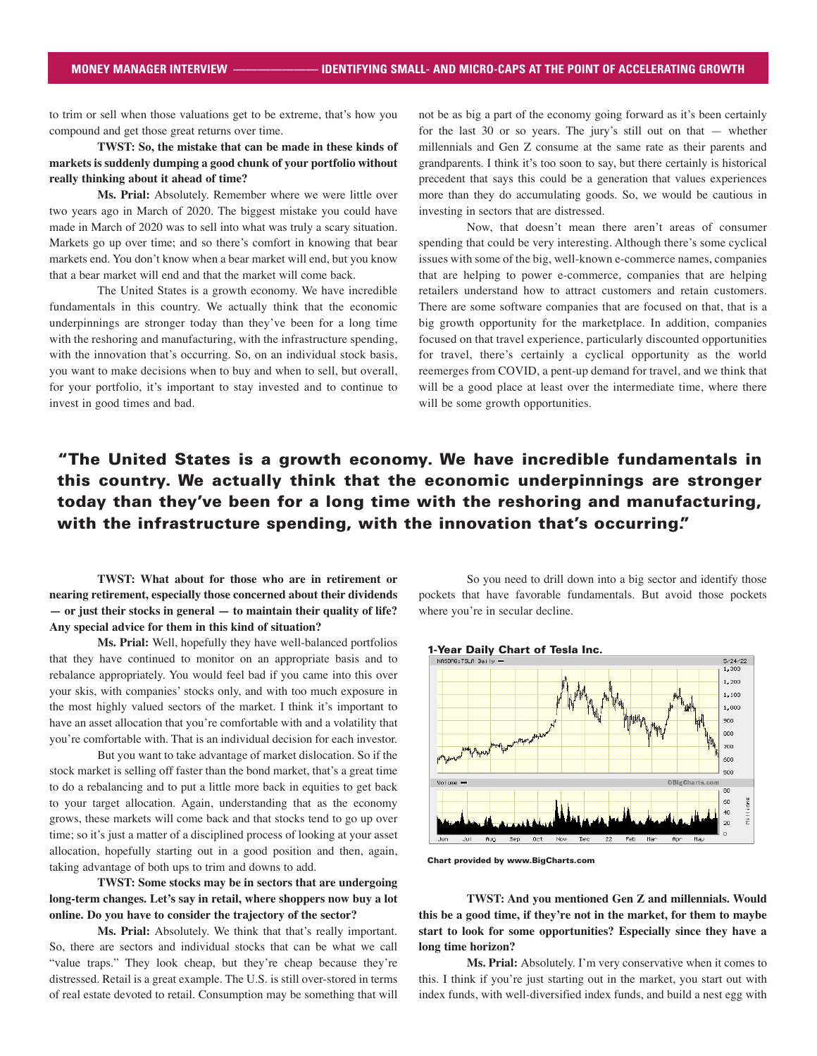to trim or sell when those valuations get to be extreme, that's how you compound and get those great returns over time.

**TWST: So, the mistake that can be made in these kinds of markets is suddenly dumping a good chunk of your portfolio without really thinking about it ahead of time?**

**Ms. Prial:** Absolutely. Remember where we were little over two years ago in March of 2020. The biggest mistake you could have made in March of 2020 was to sell into what was truly a scary situation. Markets go up over time; and so there's comfort in knowing that bear markets end. You don't know when a bear market will end, but you know that a bear market will end and that the market will come back.

The United States is a growth economy. We have incredible fundamentals in this country. We actually think that the economic underpinnings are stronger today than they've been for a long time with the reshoring and manufacturing, with the infrastructure spending, with the innovation that's occurring. So, on an individual stock basis, you want to make decisions when to buy and when to sell, but overall, for your portfolio, it's important to stay invested and to continue to invest in good times and bad.

not be as big a part of the economy going forward as it's been certainly for the last 30 or so years. The jury's still out on that — whether millennials and Gen Z consume at the same rate as their parents and grandparents. I think it's too soon to say, but there certainly is historical precedent that says this could be a generation that values experiences more than they do accumulating goods. So, we would be cautious in investing in sectors that are distressed.

Now, that doesn't mean there aren't areas of consumer spending that could be very interesting. Although there's some cyclical issues with some of the big, well-known e-commerce names, companies that are helping to power e-commerce, companies that are helping retailers understand how to attract customers and retain customers. There are some software companies that are focused on that, that is a big growth opportunity for the marketplace. In addition, companies focused on that travel experience, particularly discounted opportunities for travel, there's certainly a cyclical opportunity as the world reemerges from COVID, a pent-up demand for travel, and we think that will be a good place at least over the intermediate time, where there will be some growth opportunities.

# "The United States is a growth economy. We have incredible fundamentals in this country. We actually think that the economic underpinnings are stronger today than they've been for a long time with the reshoring and manufacturing, with the infrastructure spending, with the innovation that's occurring."

**TWST: What about for those who are in retirement or nearing retirement, especially those concerned about their dividends — or just their stocks in general — to maintain their quality of life? Any special advice for them in this kind of situation?**

**Ms. Prial:** Well, hopefully they have well-balanced portfolios that they have continued to monitor on an appropriate basis and to rebalance appropriately. You would feel bad if you came into this over your skis, with companies' stocks only, and with too much exposure in the most highly valued sectors of the market. I think it's important to have an asset allocation that you're comfortable with and a volatility that you're comfortable with. That is an individual decision for each investor.

But you want to take advantage of market dislocation. So if the stock market is selling off faster than the bond market, that's a great time to do a rebalancing and to put a little more back in equities to get back to your target allocation. Again, understanding that as the economy grows, these markets will come back and that stocks tend to go up over time; so it's just a matter of a disciplined process of looking at your asset allocation, hopefully starting out in a good position and then, again, taking advantage of both ups to trim and downs to add.

**TWST: Some stocks may be in sectors that are undergoing long-term changes. Let's say in retail, where shoppers now buy a lot online. Do you have to consider the trajectory of the sector?**

**Ms. Prial:** Absolutely. We think that that's really important. So, there are sectors and individual stocks that can be what we call "value traps." They look cheap, but they're cheap because they're distressed. Retail is a great example. The U.S. is still over-stored in terms of real estate devoted to retail. Consumption may be something that will

So you need to drill down into a big sector and identify those pockets that have favorable fundamentals. But avoid those pockets where you're in secular decline.



Chart provided by www.BigCharts.com

**TWST: And you mentioned Gen Z and millennials. Would this be a good time, if they're not in the market, for them to maybe start to look for some opportunities? Especially since they have a long time horizon?**

**Ms. Prial:** Absolutely. I'm very conservative when it comes to this. I think if you're just starting out in the market, you start out with index funds, with well-diversified index funds, and build a nest egg with